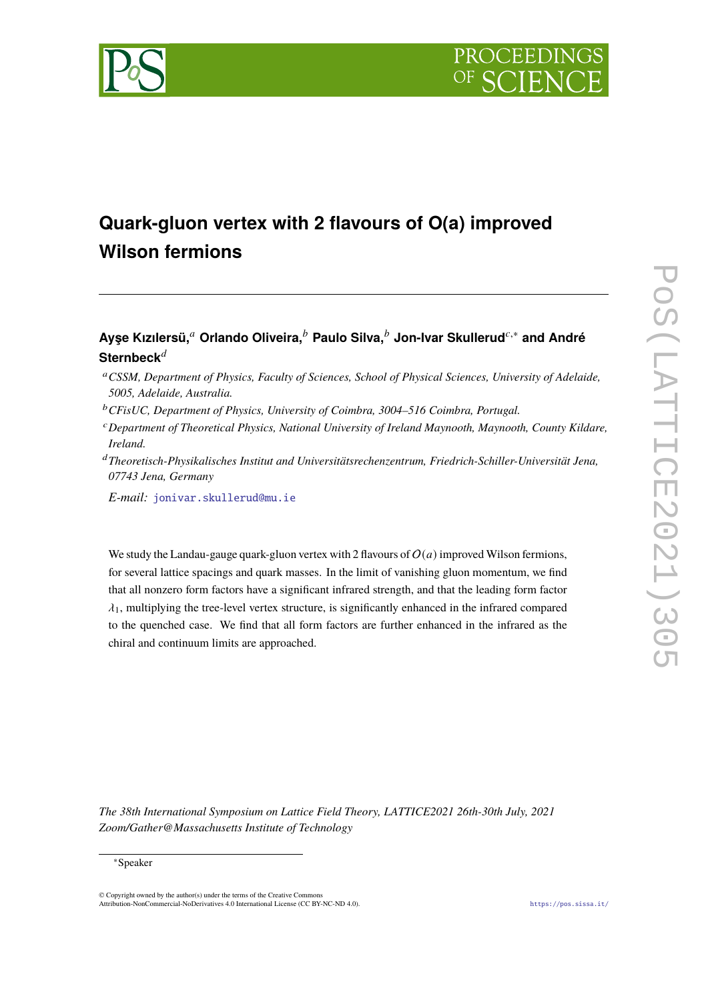

# **Quark-gluon vertex with 2 flavours of O(a) improved Wilson fermions**

# **Ayşe Kızılersü,**<sup>𝑎</sup> **Orlando Oliveira,**<sup>𝑏</sup> **Paulo Silva,**<sup>𝑏</sup> **Jon-Ivar Skullerud**𝑐,<sup>∗</sup> **and André** Sternbeck<sup>d</sup>

- <sup>𝑎</sup>*CSSM, Department of Physics, Faculty of Sciences, School of Physical Sciences, University of Adelaide, 5005, Adelaide, Australia.*
- <sup>b</sup> CFisUC, Department of Physics, University of Coimbra, 3004–516 Coimbra, Portugal.
- <sup>𝑐</sup>*Department of Theoretical Physics, National University of Ireland Maynooth, Maynooth, County Kildare, Ireland.*
- <sup>𝑑</sup>*Theoretisch-Physikalisches Institut and Universitätsrechenzentrum, Friedrich-Schiller-Universität Jena, 07743 Jena, Germany*

*E-mail:* [jonivar.skullerud@mu.ie](mailto:jonivar.skullerud@mu.ie)

We study the Landau-gauge quark-gluon vertex with 2 flavours of  $O(a)$  improved Wilson fermions, for several lattice spacings and quark masses. In the limit of vanishing gluon momentum, we find that all nonzero form factors have a significant infrared strength, and that the leading form factor  $\lambda_1$ , multiplying the tree-level vertex structure, is significantly enhanced in the infrared compared to the quenched case. We find that all form factors are further enhanced in the infrared as the chiral and continuum limits are approached.

*The 38th International Symposium on Lattice Field Theory, LATTICE2021 26th-30th July, 2021 Zoom/Gather@Massachusetts Institute of Technology*

#### <sup>∗</sup>Speaker

© Copyright owned by the author(s) under the terms of the Creative Commons Attribution-NonCommercial-NoDerivatives 4.0 International License (CC BY-NC-ND 4.0). <https://pos.sissa.it/>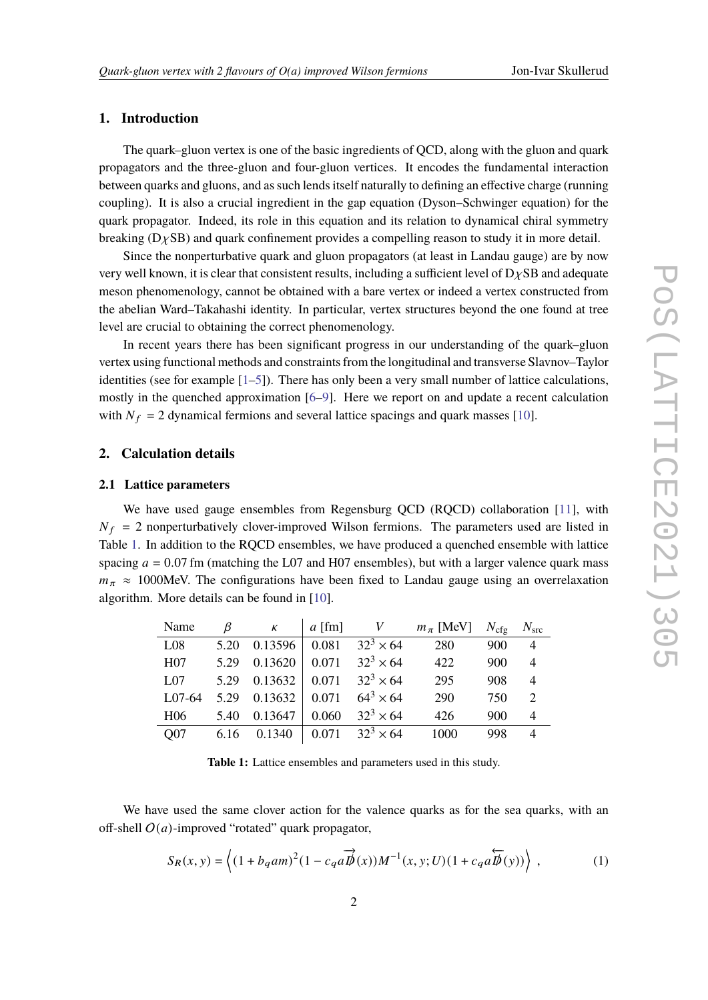#### **1. Introduction**

The quark–gluon vertex is one of the basic ingredients of QCD, along with the gluon and quark propagators and the three-gluon and four-gluon vertices. It encodes the fundamental interaction between quarks and gluons, and as such lends itself naturally to defining an effective charge (running coupling). It is also a crucial ingredient in the gap equation (Dyson–Schwinger equation) for the quark propagator. Indeed, its role in this equation and its relation to dynamical chiral symmetry breaking  $(D \chi SB)$  and quark confinement provides a compelling reason to study it in more detail.

Since the nonperturbative quark and gluon propagators (at least in Landau gauge) are by now very well known, it is clear that consistent results, including a sufficient level of  $D<sub>X</sub>SB$  and adequate meson phenomenology, cannot be obtained with a bare vertex or indeed a vertex constructed from the abelian Ward–Takahashi identity. In particular, vertex structures beyond the one found at tree level are crucial to obtaining the correct phenomenology.

In recent years there has been significant progress in our understanding of the quark–gluon vertex using functional methods and constraints from the longitudinal and transverse Slavnov–Taylor identities (see for example  $[1-5]$  $[1-5]$ ). There has only been a very small number of lattice calculations, mostly in the quenched approximation [\[6–](#page-8-0)[9\]](#page-8-1). Here we report on and update a recent calculation with  $N_f = 2$  dynamical fermions and several lattice spacings and quark masses [\[10\]](#page-8-2).

#### **2. Calculation details**

#### **2.1 Lattice parameters**

We have used gauge ensembles from Regensburg QCD (RQCD) collaboration [\[11\]](#page-8-3), with  $N_f = 2$  nonperturbatively clover-improved Wilson fermions. The parameters used are listed in Table [1.](#page-1-0) In addition to the RQCD ensembles, we have produced a quenched ensemble with lattice spacing  $a = 0.07$  fm (matching the L07 and H07 ensembles), but with a larger valence quark mass  $m_{\pi} \approx 1000$ MeV. The configurations have been fixed to Landau gauge using an overrelaxation algorithm. More details can be found in [\[10\]](#page-8-2).

<span id="page-1-0"></span>

| Name            | ß    | К       | $a$ [fm] | V                  | $m_\pi$ [MeV] | $N_{\rm cfg}$ | $N_{\rm src}$         |
|-----------------|------|---------|----------|--------------------|---------------|---------------|-----------------------|
| L <sub>08</sub> | 5.20 | 0.13596 | 0.081    | $32^3 \times 64$   | 280           | 900           | 4                     |
| H <sub>07</sub> | 5.29 | 0.13620 | 0.071    | $32^3 \times 64$   | 422           | 900           | 4                     |
| L <sub>07</sub> | 5.29 | 0.13632 | 0.071    | $32^3 \times 64$   | 295           | 908           | 4                     |
| L07-64          | 5.29 | 0.13632 | 0.071    | $64^{3} \times 64$ | 290           | 750           | $\mathcal{D}_{\cdot}$ |
| H <sub>06</sub> | 5.40 | 0.13647 | 0.060    | $32^3 \times 64$   | 426           | 900           | 4                     |
| O07             | 6.16 | 0.1340  | 0.071    | $32^3 \times 64$   | 1000          | 998           | $\overline{4}$        |

**Table 1:** Lattice ensembles and parameters used in this study.

We have used the same clover action for the valence quarks as for the sea quarks, with an off-shell  $O(a)$ -improved "rotated" quark propagator,

<span id="page-1-1"></span>
$$
S_R(x,y) = \left\langle (1 + b_q a m)^2 (1 - c_q a \overrightarrow{B}(x)) M^{-1}(x,y;U) (1 + c_q a \overleftarrow{B}(y)) \right\rangle , \tag{1}
$$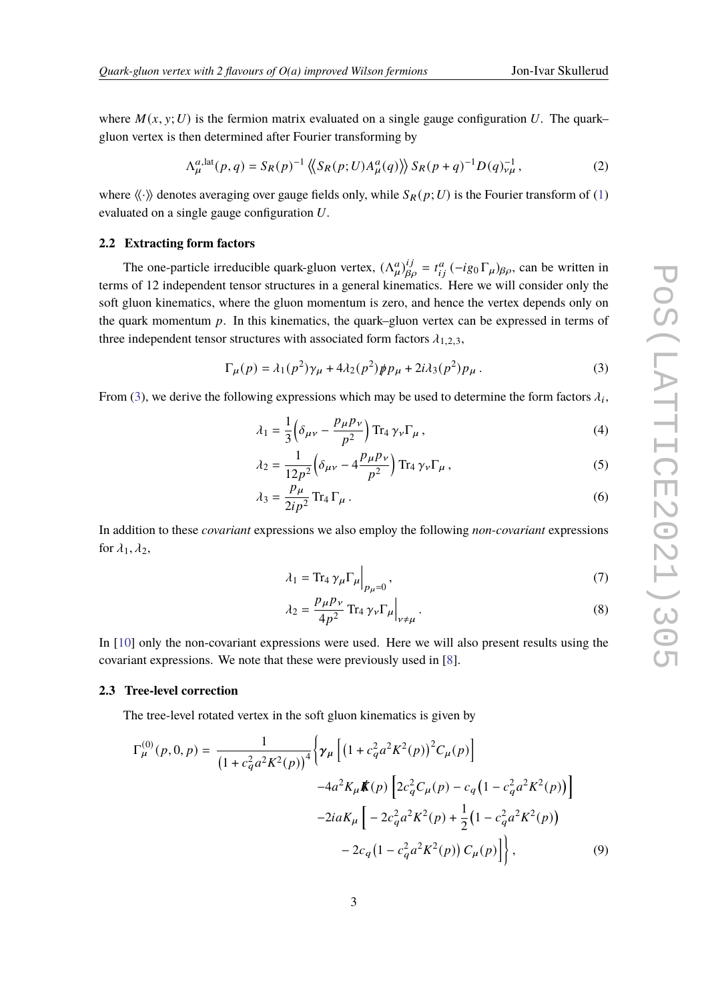where  $M(x, y; U)$  is the fermion matrix evaluated on a single gauge configuration U. The quark– gluon vertex is then determined after Fourier transforming by

$$
\Lambda_{\mu}^{a,\text{lat}}(p,q) = S_R(p)^{-1} \left\langle \left\langle S_R(p;U) A_{\mu}^a(q) \right\rangle \right\rangle S_R(p+q)^{-1} D(q)_{\nu\mu}^{-1},\tag{2}
$$

where  $\langle \langle \cdot \rangle \rangle$  denotes averaging over gauge fields only, while  $S_R(p;U)$  is the Fourier transform of [\(1\)](#page-1-1) evaluated on a single gauge configuration  $U$ .

#### **2.2 Extracting form factors**

The one-particle irreducible quark-gluon vertex,  $(\Lambda_\mu^a)_{\beta\rho}^{ij} = t_{ij}^a (-ig_0 \Gamma_\mu)_{\beta\rho}$ , can be written in terms of 12 independent tensor structures in a general kinematics. Here we will consider only the soft gluon kinematics, where the gluon momentum is zero, and hence the vertex depends only on the quark momentum  $p$ . In this kinematics, the quark–gluon vertex can be expressed in terms of three independent tensor structures with associated form factors  $\lambda_{1,2,3}$ ,

<span id="page-2-0"></span>
$$
\Gamma_{\mu}(p) = \lambda_1(p^2)\gamma_{\mu} + 4\lambda_2(p^2)\rlap/p p_{\mu} + 2i\lambda_3(p^2)p_{\mu} \,. \tag{3}
$$

From [\(3\)](#page-2-0), we derive the following expressions which may be used to determine the form factors  $\lambda_i$ ,

<span id="page-2-2"></span>
$$
\lambda_1 = \frac{1}{3} \left( \delta_{\mu\nu} - \frac{p_\mu p_\nu}{p^2} \right) \text{Tr}_4 \gamma_\nu \Gamma_\mu , \qquad (4)
$$

$$
\lambda_2 = \frac{1}{12p^2} \left( \delta_{\mu\nu} - 4 \frac{p_\mu p_\nu}{p^2} \right) \text{Tr}_4 \gamma_\nu \Gamma_\mu , \qquad (5)
$$

$$
\lambda_3 = \frac{p_\mu}{2ip^2} \operatorname{Tr}_4 \Gamma_\mu \,. \tag{6}
$$

In addition to these *covariant* expressions we also employ the following *non-covariant* expressions for  $\lambda_1, \lambda_2$ ,

<span id="page-2-5"></span><span id="page-2-4"></span>
$$
\lambda_1 = \text{Tr}_4 \,\gamma_\mu \Gamma_\mu \Big|_{p_\mu=0},\tag{7}
$$

<span id="page-2-3"></span><span id="page-2-1"></span>
$$
\lambda_2 = \frac{p_\mu p_\nu}{4p^2} \operatorname{Tr}_4 \gamma_\nu \Gamma_\mu \Big|_{\nu \neq \mu} \,. \tag{8}
$$

In [\[10\]](#page-8-2) only the non-covariant expressions were used. Here we will also present results using the covariant expressions. We note that these were previously used in [\[8\]](#page-8-4).

#### **2.3 Tree-level correction**

The tree-level rotated vertex in the soft gluon kinematics is given by

$$
\Gamma_{\mu}^{(0)}(p,0,p) = \frac{1}{(1 + c_q^2 a^2 K^2(p))^4} \Biggl\{ \gamma_{\mu} \Biggl[ \bigl( 1 + c_q^2 a^2 K^2(p) \bigr)^2 C_{\mu}(p) \Biggr] \n-4a^2 K_{\mu} \mathbf{K}(p) \Biggl[ 2c_q^2 C_{\mu}(p) - c_q \bigl( 1 - c_q^2 a^2 K^2(p) \bigr) \Biggr] \n-2ia K_{\mu} \Biggl[ -2c_q^2 a^2 K^2(p) + \frac{1}{2} \bigl( 1 - c_q^2 a^2 K^2(p) \bigr) \n-2c_q \bigl( 1 - c_q^2 a^2 K^2(p) \bigr) C_{\mu}(p) \Biggr] \Biggr\},
$$
\n(9)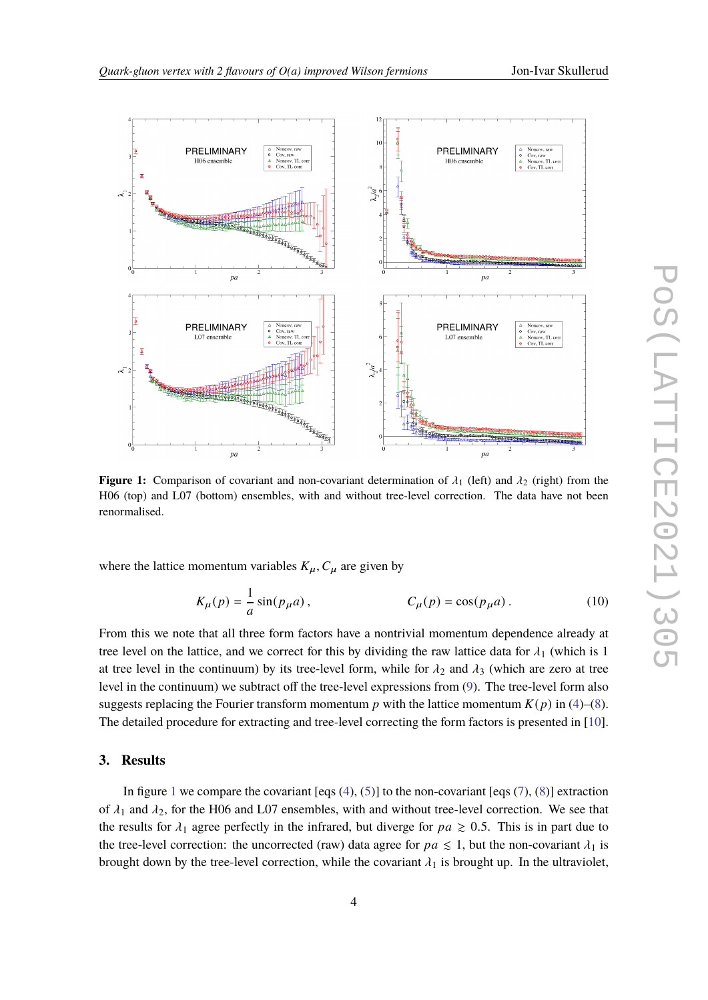<span id="page-3-0"></span>

**Figure 1:** Comparison of covariant and non-covariant determination of  $\lambda_1$  (left) and  $\lambda_2$  (right) from the H06 (top) and L07 (bottom) ensembles, with and without tree-level correction. The data have not been renormalised.

where the lattice momentum variables  $K_{\mu}$ ,  $C_{\mu}$  are given by

$$
K_{\mu}(p) = \frac{1}{a}\sin(p_{\mu}a), \qquad C_{\mu}(p) = \cos(p_{\mu}a). \qquad (10)
$$

From this we note that all three form factors have a nontrivial momentum dependence already at tree level on the lattice, and we correct for this by dividing the raw lattice data for  $\lambda_1$  (which is 1 at tree level in the continuum) by its tree-level form, while for  $\lambda_2$  and  $\lambda_3$  (which are zero at tree level in the continuum) we subtract off the tree-level expressions from [\(9\)](#page-2-1). The tree-level form also suggests replacing the Fourier transform momentum p with the lattice momentum  $K(p)$  in [\(4\)](#page-2-2)–[\(8\)](#page-2-3). The detailed procedure for extracting and tree-level correcting the form factors is presented in [\[10\]](#page-8-2).

# **3. Results**

In figure [1](#page-3-0) we compare the covariant [eqs  $(4)$ ,  $(5)$ ] to the non-covariant [eqs  $(7)$ ,  $(8)$ ] extraction of  $\lambda_1$  and  $\lambda_2$ , for the H06 and L07 ensembles, with and without tree-level correction. We see that the results for  $\lambda_1$  agree perfectly in the infrared, but diverge for  $pa \geq 0.5$ . This is in part due to the tree-level correction: the uncorrected (raw) data agree for  $pa \leq 1$ , but the non-covariant  $\lambda_1$  is brought down by the tree-level correction, while the covariant  $\lambda_1$  is brought up. In the ultraviolet,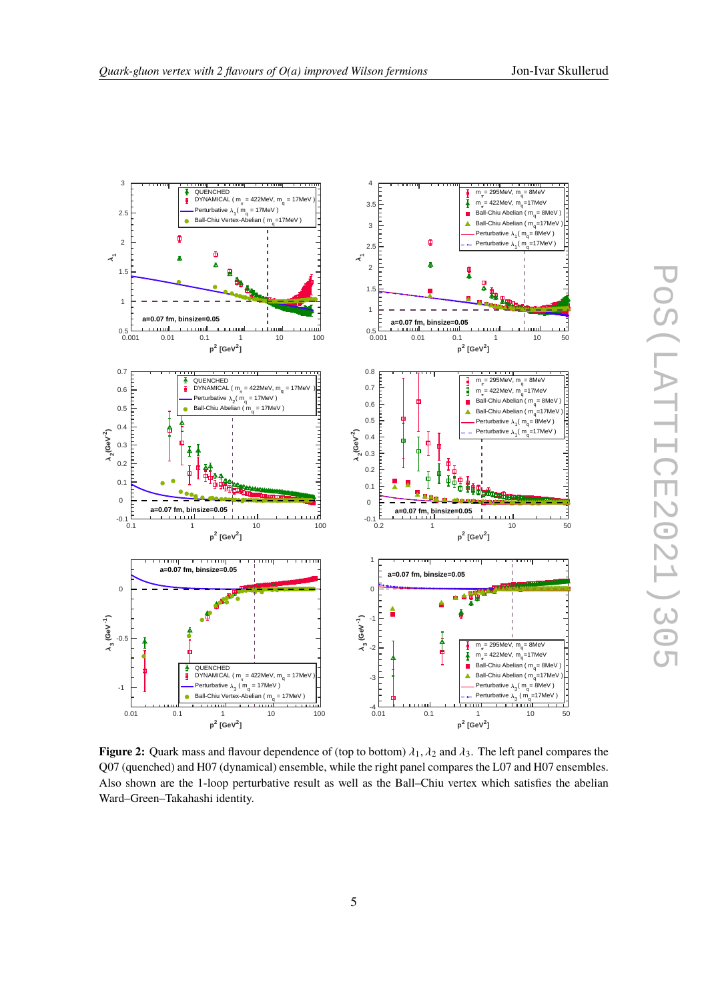<span id="page-4-0"></span>

**Figure 2:** Quark mass and flavour dependence of (top to bottom)  $\lambda_1$ ,  $\lambda_2$  and  $\lambda_3$ . The left panel compares the Q07 (quenched) and H07 (dynamical) ensemble, while the right panel compares the L07 and H07 ensembles. Also shown are the 1-loop perturbative result as well as the Ball–Chiu vertex which satisfies the abelian Ward–Green–Takahashi identity.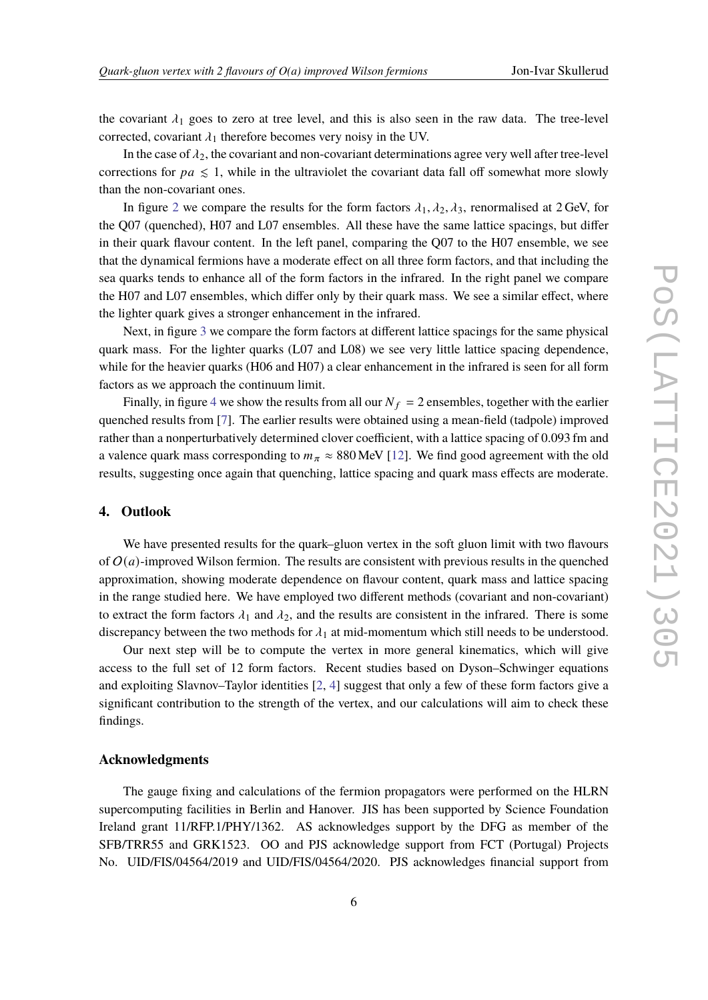the covariant  $\lambda_1$  goes to zero at tree level, and this is also seen in the raw data. The tree-level corrected, covariant  $\lambda_1$  therefore becomes very noisy in the UV.

In the case of  $\lambda_2$ , the covariant and non-covariant determinations agree very well after tree-level corrections for  $pa \leq 1$ , while in the ultraviolet the covariant data fall off somewhat more slowly than the non-covariant ones.

In figure [2](#page-4-0) we compare the results for the form factors  $\lambda_1, \lambda_2, \lambda_3$ , renormalised at 2 GeV, for the Q07 (quenched), H07 and L07 ensembles. All these have the same lattice spacings, but differ in their quark flavour content. In the left panel, comparing the Q07 to the H07 ensemble, we see that the dynamical fermions have a moderate effect on all three form factors, and that including the sea quarks tends to enhance all of the form factors in the infrared. In the right panel we compare the H07 and L07 ensembles, which differ only by their quark mass. We see a similar effect, where the lighter quark gives a stronger enhancement in the infrared.

Next, in figure [3](#page-6-1) we compare the form factors at different lattice spacings for the same physical quark mass. For the lighter quarks (L07 and L08) we see very little lattice spacing dependence, while for the heavier quarks (H06 and H07) a clear enhancement in the infrared is seen for all form factors as we approach the continuum limit.

Finally, in figure [4](#page-7-1) we show the results from all our  $N_f = 2$  ensembles, together with the earlier quenched results from [\[7\]](#page-8-5). The earlier results were obtained using a mean-field (tadpole) improved rather than a nonperturbatively determined clover coefficient, with a lattice spacing of 0.093 fm and a valence quark mass corresponding to  $m_{\pi} \approx 880 \text{ MeV}$  [\[12\]](#page-8-6). We find good agreement with the old results, suggesting once again that quenching, lattice spacing and quark mass effects are moderate.

# **4. Outlook**

We have presented results for the quark–gluon vertex in the soft gluon limit with two flavours of  $O(a)$ -improved Wilson fermion. The results are consistent with previous results in the quenched approximation, showing moderate dependence on flavour content, quark mass and lattice spacing in the range studied here. We have employed two different methods (covariant and non-covariant) to extract the form factors  $\lambda_1$  and  $\lambda_2$ , and the results are consistent in the infrared. There is some discrepancy between the two methods for  $\lambda_1$  at mid-momentum which still needs to be understood.

Our next step will be to compute the vertex in more general kinematics, which will give access to the full set of 12 form factors. Recent studies based on Dyson–Schwinger equations and exploiting Slavnov–Taylor identities [\[2,](#page-7-2) [4\]](#page-7-3) suggest that only a few of these form factors give a significant contribution to the strength of the vertex, and our calculations will aim to check these findings.

#### **Acknowledgments**

The gauge fixing and calculations of the fermion propagators were performed on the HLRN supercomputing facilities in Berlin and Hanover. JIS has been supported by Science Foundation Ireland grant 11/RFP.1/PHY/1362. AS acknowledges support by the DFG as member of the SFB/TRR55 and GRK1523. OO and PJS acknowledge support from FCT (Portugal) Projects No. UID/FIS/04564/2019 and UID/FIS/04564/2020. PJS acknowledges financial support from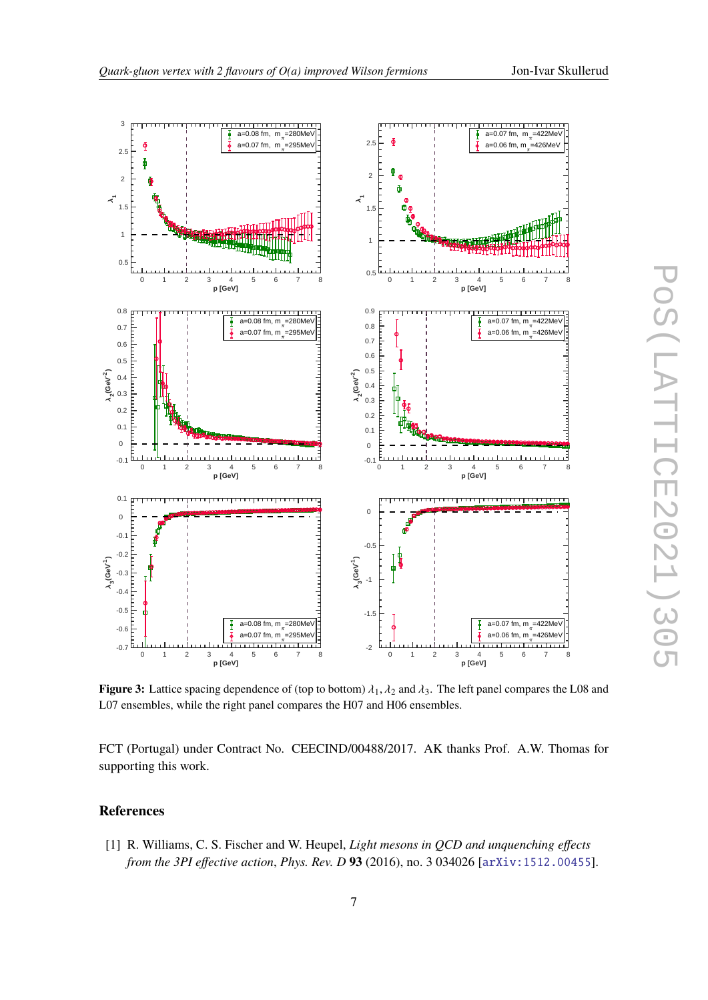<span id="page-6-1"></span>

**Figure 3:** Lattice spacing dependence of (top to bottom)  $\lambda_1$ ,  $\lambda_2$  and  $\lambda_3$ . The left panel compares the L08 and L07 ensembles, while the right panel compares the H07 and H06 ensembles.

FCT (Portugal) under Contract No. CEECIND/00488/2017. AK thanks Prof. A.W. Thomas for supporting this work.

# **References**

<span id="page-6-0"></span>[1] R. Williams, C. S. Fischer and W. Heupel, *Light mesons in QCD and unquenching effects from the 3PI effective action*, *Phys. Rev. D* **93** (2016), no. 3 034026 [[arXiv:1512.00455](http://arXiv.org/abs/1512.00455)].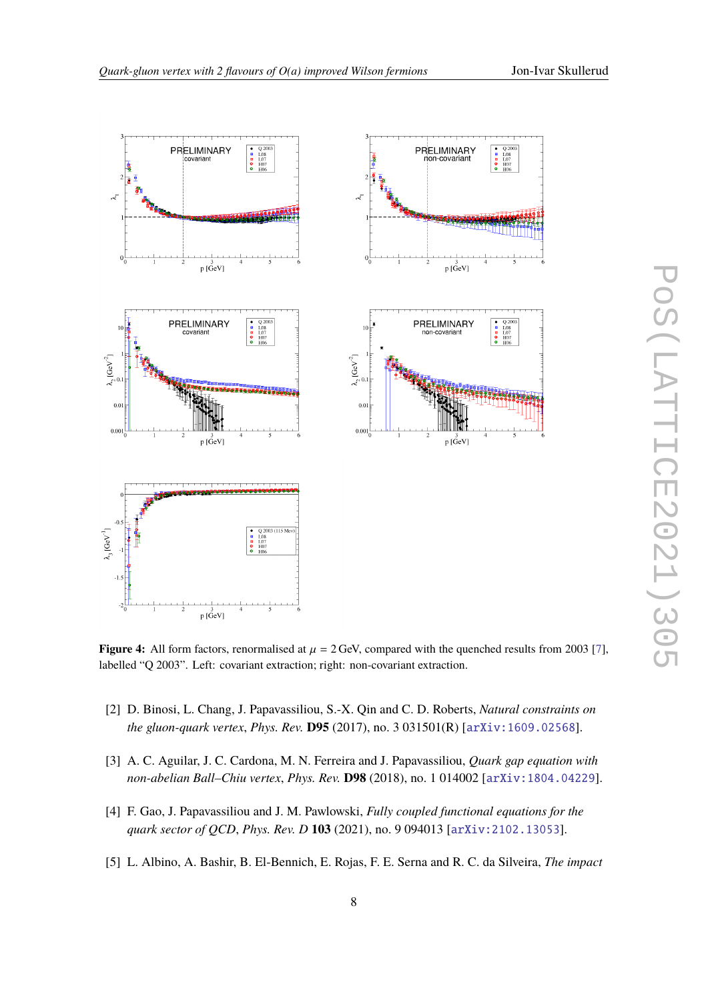<span id="page-7-1"></span>

**Figure 4:** All form factors, renormalised at  $\mu = 2$  GeV, compared with the quenched results from 2003 [\[7\]](#page-8-5), labelled "Q 2003". Left: covariant extraction; right: non-covariant extraction.

- <span id="page-7-2"></span>[2] D. Binosi, L. Chang, J. Papavassiliou, S.-X. Qin and C. D. Roberts, *Natural constraints on the gluon-quark vertex*, *Phys. Rev.* **D95** (2017), no. 3 031501(R) [[arXiv:1609.02568](http://arXiv.org/abs/1609.02568)].
- [3] A. C. Aguilar, J. C. Cardona, M. N. Ferreira and J. Papavassiliou, *Quark gap equation with non-abelian Ball–Chiu vertex*, *Phys. Rev.* **D98** (2018), no. 1 014002 [[arXiv:1804.04229](http://arXiv.org/abs/1804.04229)].
- <span id="page-7-3"></span>[4] F. Gao, J. Papavassiliou and J. M. Pawlowski, *Fully coupled functional equations for the quark sector of QCD*, *Phys. Rev. D* **103** (2021), no. 9 094013 [[arXiv:2102.13053](http://arXiv.org/abs/2102.13053)].
- <span id="page-7-0"></span>[5] L. Albino, A. Bashir, B. El-Bennich, E. Rojas, F. E. Serna and R. C. da Silveira, *The impact*